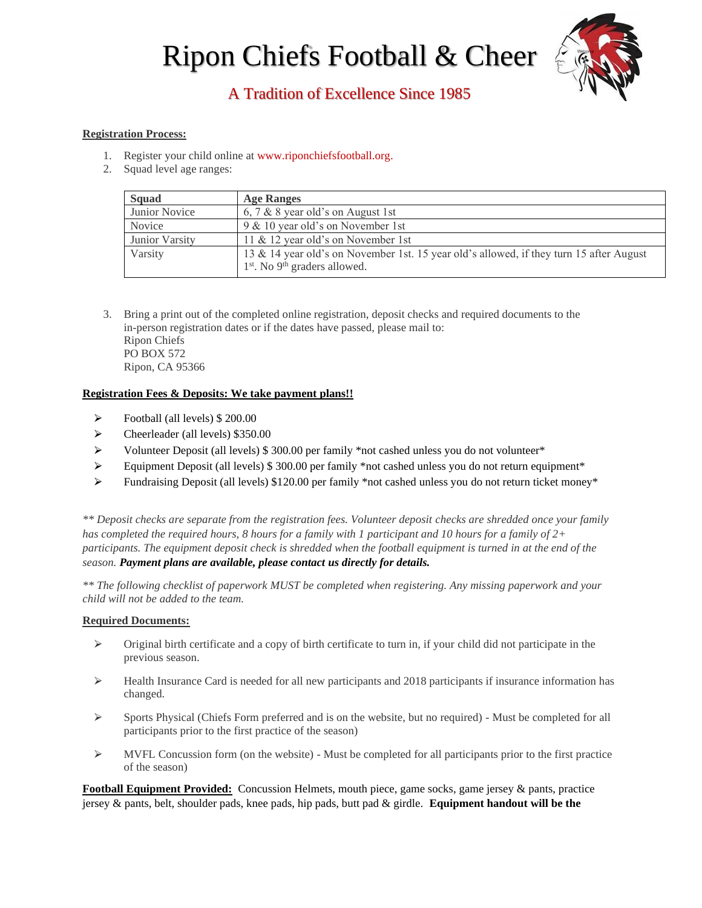# Ripon Chiefs Football & Cheer



# A Tradition of Excellence Since 1985

## **Registration Process:**

- 1. Register your child online at [www.riponchiefsfootball.org.](http://www.riponchiefsfootball.org/)
- 2. Squad level age ranges:

| <b>Squad</b>   | <b>Age Ranges</b>                                                                                                                      |
|----------------|----------------------------------------------------------------------------------------------------------------------------------------|
| Junior Novice  | 6, 7 & 8 year old's on August 1st                                                                                                      |
| Novice         | 9 & 10 year old's on November 1st                                                                                                      |
| Junior Varsity | 11 & 12 year old's on November 1st                                                                                                     |
| Varsity        | 13 & 14 year old's on November 1st. 15 year old's allowed, if they turn 15 after August<br>$1st$ . No 9 <sup>th</sup> graders allowed. |

3. Bring a print out of the completed online registration, deposit checks and required documents to the in-person registration dates or if the dates have passed, please mail to: Ripon Chiefs PO BOX 572 Ripon, CA 95366

## **Registration Fees & Deposits: We take payment plans!!**

- $\triangleright$  Football (all levels) \$ 200.00
- ⮚ Cheerleader (all levels) \$350.00
- $\triangleright$  Volunteer Deposit (all levels) \$ 300.00 per family \*not cashed unless you do not volunteer\*
- Equipment Deposit (all levels) \$300.00 per family \*not cashed unless you do not return equipment\*
- $\triangleright$  Fundraising Deposit (all levels) \$120.00 per family \*not cashed unless you do not return ticket money\*

*\*\* Deposit checks are separate from the registration fees. Volunteer deposit checks are shredded once your family has completed the required hours, 8 hours for a family with 1 participant and 10 hours for a family of 2+ participants. The equipment deposit check is shredded when the football equipment is turned in at the end of the season. Payment plans are available, please contact [us d](mailto:secretary@riponchiefsfootball.org?subject=Ripon%20Chiefs%20-%20Payment%20Plan%20Inquiry)irectly for details.*

*\*\* The following checklist of paperwork MUST be completed when registering. Any missing paperwork and your child will not be added to the team.* 

#### **Required Documents:**

- $\triangleright$  Original birth certificate and a copy of birth certificate to turn in, if your child did not participate in the previous season.
- $\geq$  Health Insurance Card is needed for all new participants and 2018 participants if insurance information has changed.
- $\triangleright$  Sports Physical (Chiefs Form preferred and is on the website, but no required) Must be completed for all participants prior to the first practice of the season)
- $\triangleright$  MVFL Concussion form (on the website) Must be completed for all participants prior to the first practice of the season)

**Football Equipment Provided:** Concussion Helmets, mouth piece, game socks, game jersey & pants, practice jersey & pants, belt, shoulder pads, knee pads, hip pads, butt pad & girdle. **Equipment handout will be the**